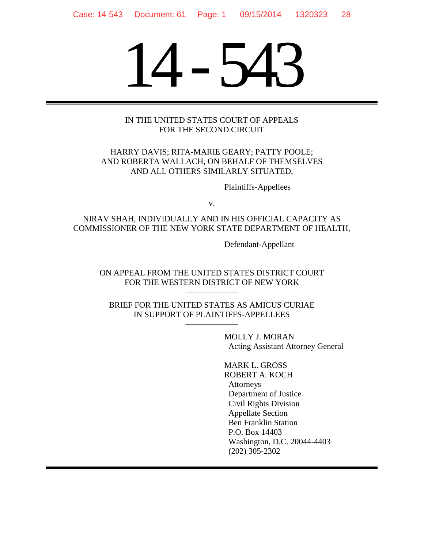# 14-543

#### IN THE UNITED STATES COURT OF APPEALS FOR THE SECOND CIRCUIT \_\_\_\_\_\_\_\_\_\_\_\_\_\_\_\_\_\_\_

HARRY DAVIS; RITA-MARIE GEARY; PATTY POOLE; AND ROBERTA WALLACH, ON BEHALF OF THEMSELVES AND ALL OTHERS SIMILARLY SITUATED,

Plaintiffs-Appellees

v.

NIRAV SHAH, INDIVIDUALLY AND IN HIS OFFICIAL CAPACITY AS COMMISSIONER OF THE NEW YORK STATE DEPARTMENT OF HEALTH,

Defendant-Appellant

ON APPEAL FROM THE UNITED STATES DISTRICT COURT FOR THE WESTERN DISTRICT OF NEW YORK \_\_\_\_\_\_\_\_\_\_\_\_\_\_\_\_\_\_\_

\_\_\_\_\_\_\_\_\_\_\_\_\_\_\_\_\_\_\_

BRIEF FOR THE UNITED STATES AS AMICUS CURIAE IN SUPPORT OF PLAINTIFFS-APPELLEES \_\_\_\_\_\_\_\_\_\_\_\_\_\_\_\_\_\_\_

> MOLLY J. MORAN Acting Assistant Attorney General

MARK L. GROSS ROBERT A. KOCH Attorneys Department of Justice Civil Rights Division Appellate Section Ben Franklin Station P.O. Box 14403 Washington, D.C. 20044-4403 (202) 305-2302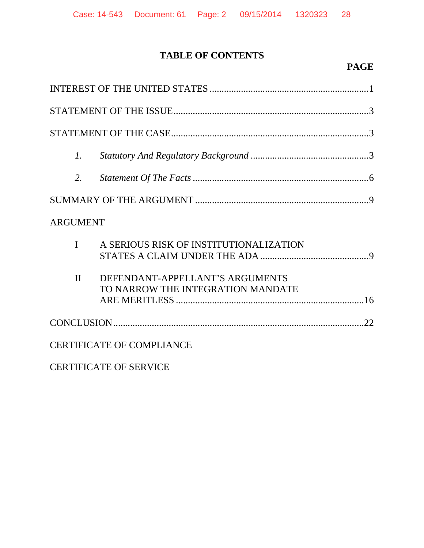# **TABLE OF CONTENTS**

## **PAGE**

| $\mathcal{I}$ . |                                                                      |
|-----------------|----------------------------------------------------------------------|
| 2.              |                                                                      |
|                 |                                                                      |
| <b>ARGUMENT</b> |                                                                      |
| $\mathbf{I}$    | A SERIOUS RISK OF INSTITUTIONALIZATION                               |
| $\mathbf{I}$    | DEFENDANT-APPELLANT'S ARGUMENTS<br>TO NARROW THE INTEGRATION MANDATE |
|                 |                                                                      |
|                 | <b>CERTIFICATE OF COMPLIANCE</b>                                     |

CERTIFICATE OF SERVICE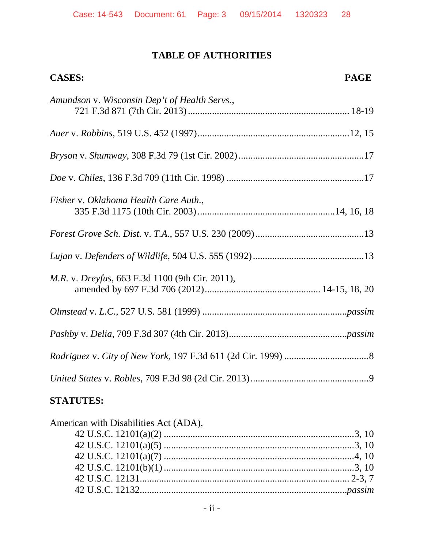#### **TABLE OF AUTHORITIES**

# **CASES: PAGE** *Amundson* v. *Wisconsin Dep't of Health Servs.*, 721 F.3d 871 (7th Cir. 2013)................................................................... 18-19 *Auer* v. *Robbins*, 519 U.S. 452 (1997)...............................................................12, 15 *Bryson* v. *Shumway*, 308 F.3d 79 (1st Cir. 2002)....................................................17 *Doe* v. *Chiles*, 136 F.3d 709 (11th Cir. 1998) .........................................................17 *Fisher* v. *Oklahoma Health Care Auth.*, 335 F.3d 1175 (10th Cir. 2003).........................................................14, 16, 18 *Forest Grove Sch. Dist.* v. *T.A.*, 557 U.S. 230 (2009).............................................13 *Lujan* v. *Defenders of Wildlife*, 504 U.S. 555 (1992)..............................................13 *M.R.* v. *Dreyfus*, 663 F.3d 1100 (9th Cir. 2011), amended by 697 F.3d 706 (2012)................................................ 14-15, 18, 20 *Olmstead* v. *L.C.*, 527 U.S. 581 (1999) ............................................................*passim Pashby* v. *Delia*, 709 F.3d 307 (4th Cir. 2013).................................................*passim Rodriguez* v. *City of New York*, 197 F.3d 611 (2d Cir. 1999) ...................................8 *United States* v. *Robles*, 709 F.3d 98 (2d Cir. 2013).................................................9

### **STATUTES:**

| American with Disabilities Act (ADA), |  |
|---------------------------------------|--|
|                                       |  |
|                                       |  |
|                                       |  |
|                                       |  |
|                                       |  |
|                                       |  |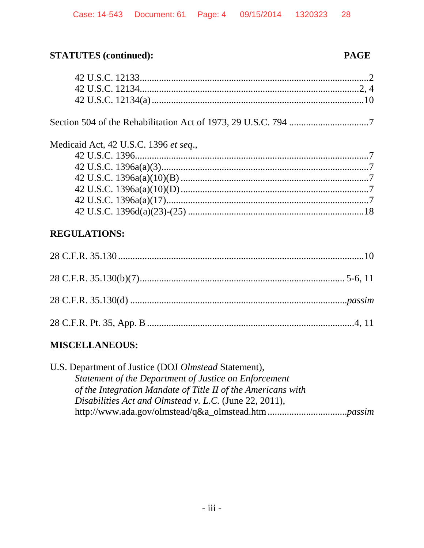# **STATUTES** (continued):

#### **PAGE**

| Medicaid Act, 42 U.S.C. 1396 et seq., |  |
|---------------------------------------|--|
|                                       |  |
|                                       |  |
|                                       |  |
|                                       |  |
|                                       |  |
|                                       |  |
| <b>REGULATIONS:</b>                   |  |
|                                       |  |
|                                       |  |
|                                       |  |
|                                       |  |
|                                       |  |

# **MISCELLANEOUS:**

U.S. Department of Justice (DOJ Olmstead Statement), Statement of the Department of Justice on Enforcement of the Integration Mandate of Title II of the Americans with Disabilities Act and Olmstead v. L.C. (June 22, 2011),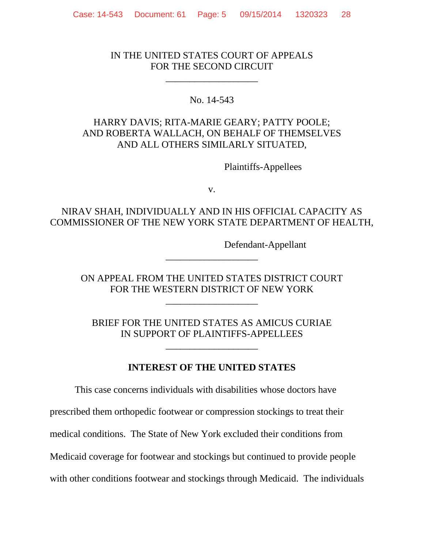#### IN THE UNITED STATES COURT OF APPEALS FOR THE SECOND CIRCUIT

\_\_\_\_\_\_\_\_\_\_\_\_\_\_\_\_\_\_\_

#### No. 14-543

### HARRY DAVIS; RITA-MARIE GEARY; PATTY POOLE; AND ROBERTA WALLACH, ON BEHALF OF THEMSELVES AND ALL OTHERS SIMILARLY SITUATED,

Plaintiffs-Appellees

v.

## NIRAV SHAH, INDIVIDUALLY AND IN HIS OFFICIAL CAPACITY AS COMMISSIONER OF THE NEW YORK STATE DEPARTMENT OF HEALTH,

Defendant-Appellant

ON APPEAL FROM THE UNITED STATES DISTRICT COURT FOR THE WESTERN DISTRICT OF NEW YORK

\_\_\_\_\_\_\_\_\_\_\_\_\_\_\_\_\_\_\_

\_\_\_\_\_\_\_\_\_\_\_\_\_\_\_\_\_\_\_

BRIEF FOR THE UNITED STATES AS AMICUS CURIAE IN SUPPORT OF PLAINTIFFS-APPELLEES

\_\_\_\_\_\_\_\_\_\_\_\_\_\_\_\_\_\_\_

**INTEREST OF THE UNITED STATES**

This case concerns individuals with disabilities whose doctors have

prescribed them orthopedic footwear or compression stockings to treat their

medical conditions. The State of New York excluded their conditions from

Medicaid coverage for footwear and stockings but continued to provide people

with other conditions footwear and stockings through Medicaid. The individuals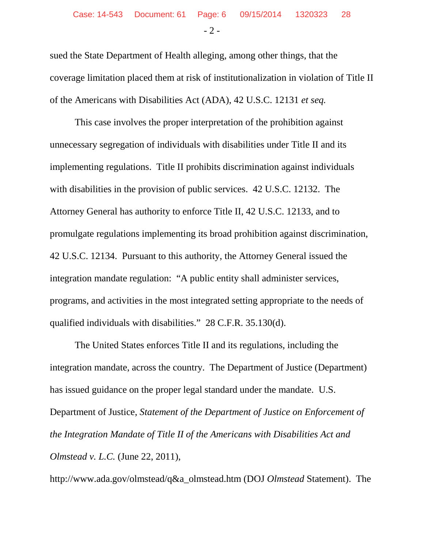sued the State Department of Health alleging, among other things, that the coverage limitation placed them at risk of institutionalization in violation of Title II of the Americans with Disabilities Act (ADA), 42 U.S.C. 12131 *et seq.*

This case involves the proper interpretation of the prohibition against unnecessary segregation of individuals with disabilities under Title II and its implementing regulations. Title II prohibits discrimination against individuals with disabilities in the provision of public services. 42 U.S.C. 12132. The Attorney General has authority to enforce Title II, 42 U.S.C. 12133, and to promulgate regulations implementing its broad prohibition against discrimination, 42 U.S.C. 12134. Pursuant to this authority, the Attorney General issued the integration mandate regulation: "A public entity shall administer services, programs, and activities in the most integrated setting appropriate to the needs of qualified individuals with disabilities." 28 C.F.R. 35.130(d).

The United States enforces Title II and its regulations, including the integration mandate, across the country. The Department of Justice (Department) has issued guidance on the proper legal standard under the mandate. U.S. Department of Justice, *Statement of the Department of Justice on Enforcement of the Integration Mandate of Title II of the Americans with Disabilities Act and Olmstead v. L.C.* (June 22, 2011),

http://www.ada.gov/olmstead/q&a\_olmstead.htm (DOJ *Olmstead* Statement). The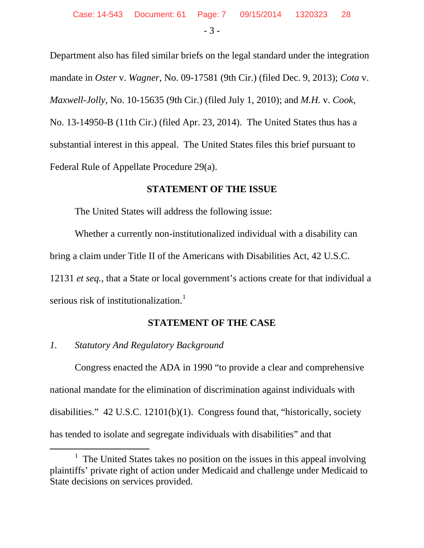Department also has filed similar briefs on the legal standard under the integration mandate in *Oster* v. *Wagner*, No. 09-17581 (9th Cir.) (filed Dec. 9, 2013); *Cota* v. *Maxwell-Jolly*, No. 10-15635 (9th Cir.) (filed July 1, 2010); and *M.H.* v. *Cook*, No. 13-14950-B (11th Cir.) (filed Apr. 23, 2014). The United States thus has a substantial interest in this appeal. The United States files this brief pursuant to Federal Rule of Appellate Procedure 29(a).

#### **STATEMENT OF THE ISSUE**

The United States will address the following issue:

Whether a currently non-institutionalized individual with a disability can bring a claim under Title II of the Americans with Disabilities Act, 42 U.S.C. 12131 *et seq.*, that a State or local government's actions create for that individual a serious risk of institutionalization.<sup>[1](#page-6-0)</sup>

#### **STATEMENT OF THE CASE**

#### *1. Statutory And Regulatory Background*

Congress enacted the ADA in 1990 "to provide a clear and comprehensive national mandate for the elimination of discrimination against individuals with disabilities." 42 U.S.C. 12101(b)(1). Congress found that, "historically, society has tended to isolate and segregate individuals with disabilities" and that

<span id="page-6-0"></span> $1$  The United States takes no position on the issues in this appeal involving plaintiffs' private right of action under Medicaid and challenge under Medicaid to State decisions on services provided.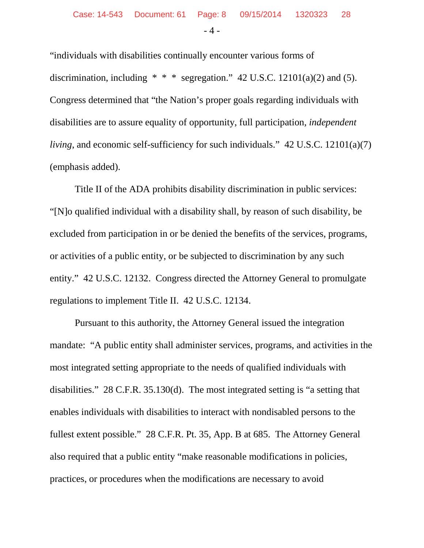"individuals with disabilities continually encounter various forms of discrimination, including  $* * *$  segregation." 42 U.S.C. 12101(a)(2) and (5). Congress determined that "the Nation's proper goals regarding individuals with disabilities are to assure equality of opportunity, full participation, *independent living*, and economic self-sufficiency for such individuals." 42 U.S.C. 12101(a)(7) (emphasis added).

Title II of the ADA prohibits disability discrimination in public services: "[N]o qualified individual with a disability shall, by reason of such disability, be excluded from participation in or be denied the benefits of the services, programs, or activities of a public entity, or be subjected to discrimination by any such entity." 42 U.S.C. 12132. Congress directed the Attorney General to promulgate regulations to implement Title II. 42 U.S.C. 12134.

Pursuant to this authority, the Attorney General issued the integration mandate: "A public entity shall administer services, programs, and activities in the most integrated setting appropriate to the needs of qualified individuals with disabilities." 28 C.F.R. 35.130(d). The most integrated setting is "a setting that enables individuals with disabilities to interact with nondisabled persons to the fullest extent possible." 28 C.F.R. Pt. 35, App. B at 685. The Attorney General also required that a public entity "make reasonable modifications in policies, practices, or procedures when the modifications are necessary to avoid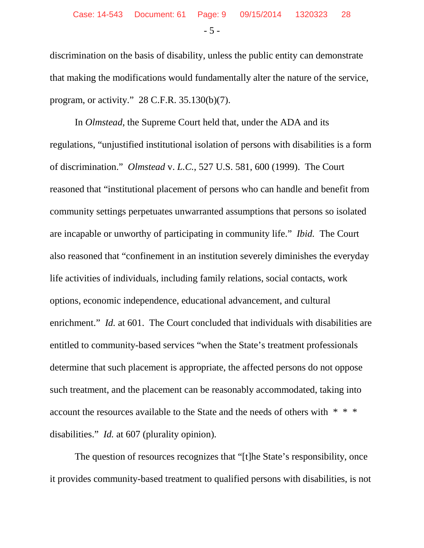discrimination on the basis of disability, unless the public entity can demonstrate that making the modifications would fundamentally alter the nature of the service, program, or activity." 28 C.F.R. 35.130(b)(7).

In *Olmstead*, the Supreme Court held that, under the ADA and its regulations, "unjustified institutional isolation of persons with disabilities is a form of discrimination." *Olmstead* v. *L.C.*, 527 U.S. 581, 600 (1999). The Court reasoned that "institutional placement of persons who can handle and benefit from community settings perpetuates unwarranted assumptions that persons so isolated are incapable or unworthy of participating in community life." *Ibid.* The Court also reasoned that "confinement in an institution severely diminishes the everyday life activities of individuals, including family relations, social contacts, work options, economic independence, educational advancement, and cultural enrichment." *Id.* at 601. The Court concluded that individuals with disabilities are entitled to community-based services "when the State's treatment professionals determine that such placement is appropriate, the affected persons do not oppose such treatment, and the placement can be reasonably accommodated, taking into account the resources available to the State and the needs of others with \* \* \* disabilities." *Id.* at 607 (plurality opinion).

The question of resources recognizes that "[t]he State's responsibility, once it provides community-based treatment to qualified persons with disabilities, is not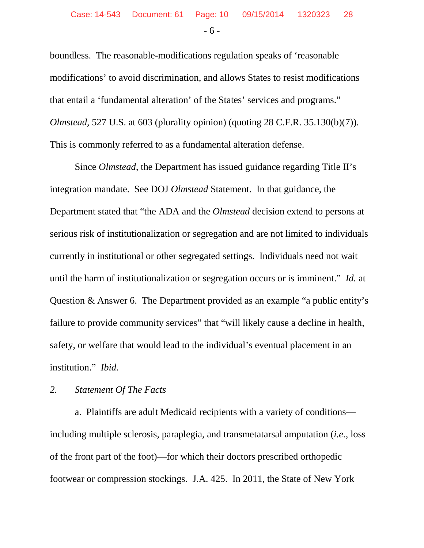boundless. The reasonable-modifications regulation speaks of 'reasonable modifications' to avoid discrimination, and allows States to resist modifications that entail a 'fundamental alteration' of the States' services and programs." *Olmstead*, 527 U.S. at 603 (plurality opinion) (quoting 28 C.F.R. 35.130(b)(7)). This is commonly referred to as a fundamental alteration defense.

Since *Olmstead*, the Department has issued guidance regarding Title II's integration mandate. See DOJ *Olmstead* Statement. In that guidance, the Department stated that "the ADA and the *Olmstead* decision extend to persons at serious risk of institutionalization or segregation and are not limited to individuals currently in institutional or other segregated settings. Individuals need not wait until the harm of institutionalization or segregation occurs or is imminent." *Id.* at Question & Answer 6. The Department provided as an example "a public entity's failure to provide community services" that "will likely cause a decline in health, safety, or welfare that would lead to the individual's eventual placement in an institution." *Ibid.*

#### *2. Statement Of The Facts*

a. Plaintiffs are adult Medicaid recipients with a variety of conditions including multiple sclerosis, paraplegia, and transmetatarsal amputation (*i.e.*, loss of the front part of the foot)—for which their doctors prescribed orthopedic footwear or compression stockings. J.A. 425. In 2011, the State of New York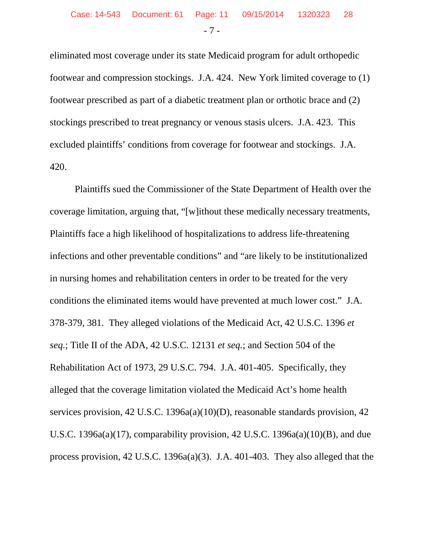eliminated most coverage under its state Medicaid program for adult orthopedic footwear and compression stockings. J.A. 424. New York limited coverage to (1) footwear prescribed as part of a diabetic treatment plan or orthotic brace and (2) stockings prescribed to treat pregnancy or venous stasis ulcers. J.A. 423. This excluded plaintiffs' conditions from coverage for footwear and stockings. J.A. 420.

Plaintiffs sued the Commissioner of the State Department of Health over the coverage limitation, arguing that, "[w]ithout these medically necessary treatments, Plaintiffs face a high likelihood of hospitalizations to address life-threatening infections and other preventable conditions" and "are likely to be institutionalized in nursing homes and rehabilitation centers in order to be treated for the very conditions the eliminated items would have prevented at much lower cost." J.A. 378-379, 381. They alleged violations of the Medicaid Act, 42 U.S.C. 1396 *et seq.*; Title II of the ADA, 42 U.S.C. 12131 *et seq.*; and Section 504 of the Rehabilitation Act of 1973, 29 U.S.C. 794. J.A. 401-405. Specifically, they alleged that the coverage limitation violated the Medicaid Act's home health services provision, 42 U.S.C. 1396a(a)(10)(D), reasonable standards provision, 42 U.S.C. 1396a(a)(17), comparability provision, 42 U.S.C. 1396a(a)(10)(B), and due process provision, 42 U.S.C. 1396a(a)(3). J.A. 401-403. They also alleged that the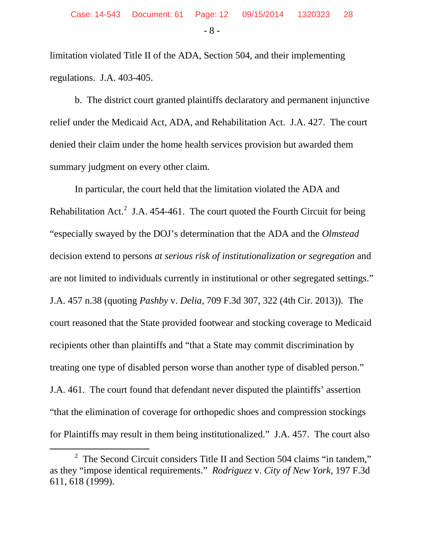limitation violated Title II of the ADA, Section 504, and their implementing regulations. J.A. 403-405.

b. The district court granted plaintiffs declaratory and permanent injunctive relief under the Medicaid Act, ADA, and Rehabilitation Act. J.A. 427. The court denied their claim under the home health services provision but awarded them summary judgment on every other claim.

In particular, the court held that the limitation violated the ADA and Rehabilitation Act.<sup>[2](#page-11-0)</sup> J.A. 454-461. The court quoted the Fourth Circuit for being "especially swayed by the DOJ's determination that the ADA and the *Olmstead* decision extend to persons *at serious risk of institutionalization or segregation* and are not limited to individuals currently in institutional or other segregated settings." J.A. 457 n.38 (quoting *Pashby* v. *Delia*, 709 F.3d 307, 322 (4th Cir. 2013)). The court reasoned that the State provided footwear and stocking coverage to Medicaid recipients other than plaintiffs and "that a State may commit discrimination by treating one type of disabled person worse than another type of disabled person." J.A. 461. The court found that defendant never disputed the plaintiffs' assertion "that the elimination of coverage for orthopedic shoes and compression stockings for Plaintiffs may result in them being institutionalized." J.A. 457. The court also

<span id="page-11-0"></span> $\overline{\ }$  2  $2$  The Second Circuit considers Title II and Section 504 claims "in tandem," as they "impose identical requirements." *Rodriguez* v. *City of New York*, 197 F.3d 611, 618 (1999).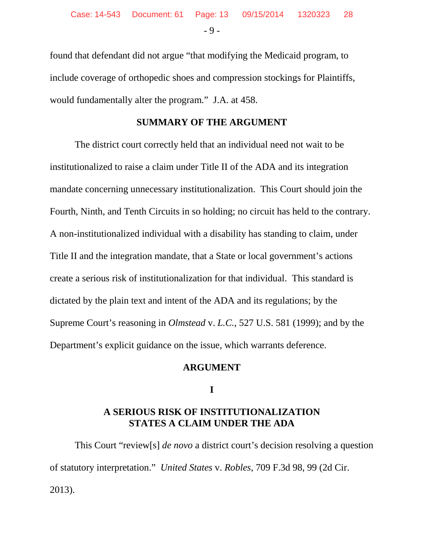found that defendant did not argue "that modifying the Medicaid program, to include coverage of orthopedic shoes and compression stockings for Plaintiffs, would fundamentally alter the program." J.A. at 458.

#### **SUMMARY OF THE ARGUMENT**

The district court correctly held that an individual need not wait to be institutionalized to raise a claim under Title II of the ADA and its integration mandate concerning unnecessary institutionalization. This Court should join the Fourth, Ninth, and Tenth Circuits in so holding; no circuit has held to the contrary. A non-institutionalized individual with a disability has standing to claim, under Title II and the integration mandate, that a State or local government's actions create a serious risk of institutionalization for that individual. This standard is dictated by the plain text and intent of the ADA and its regulations; by the Supreme Court's reasoning in *Olmstead* v. *L.C.*, 527 U.S. 581 (1999); and by the Department's explicit guidance on the issue, which warrants deference.

#### **ARGUMENT**

**I**

#### **A SERIOUS RISK OF INSTITUTIONALIZATION STATES A CLAIM UNDER THE ADA**

This Court "review[s] *de novo* a district court's decision resolving a question of statutory interpretation." *United States* v. *Robles*, 709 F.3d 98, 99 (2d Cir. 2013).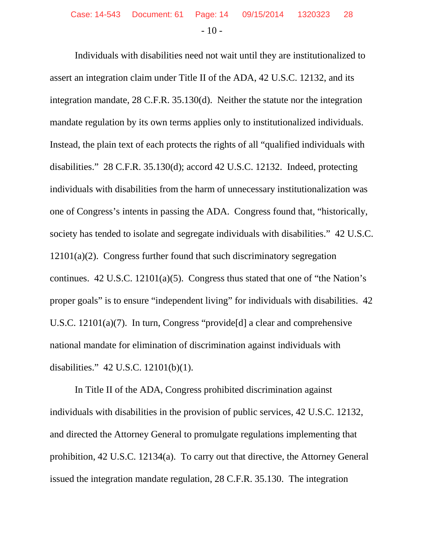Individuals with disabilities need not wait until they are institutionalized to assert an integration claim under Title II of the ADA, 42 U.S.C. 12132, and its integration mandate, 28 C.F.R. 35.130(d). Neither the statute nor the integration mandate regulation by its own terms applies only to institutionalized individuals. Instead, the plain text of each protects the rights of all "qualified individuals with disabilities." 28 C.F.R. 35.130(d); accord 42 U.S.C. 12132. Indeed, protecting individuals with disabilities from the harm of unnecessary institutionalization was one of Congress's intents in passing the ADA. Congress found that, "historically, society has tended to isolate and segregate individuals with disabilities." 42 U.S.C. 12101(a)(2). Congress further found that such discriminatory segregation continues. 42 U.S.C. 12101(a)(5). Congress thus stated that one of "the Nation's proper goals" is to ensure "independent living" for individuals with disabilities. 42 U.S.C. 12101(a)(7). In turn, Congress "provide[d] a clear and comprehensive national mandate for elimination of discrimination against individuals with disabilities." 42 U.S.C. 12101(b)(1).

In Title II of the ADA, Congress prohibited discrimination against individuals with disabilities in the provision of public services, 42 U.S.C. 12132, and directed the Attorney General to promulgate regulations implementing that prohibition, 42 U.S.C. 12134(a). To carry out that directive, the Attorney General issued the integration mandate regulation, 28 C.F.R. 35.130. The integration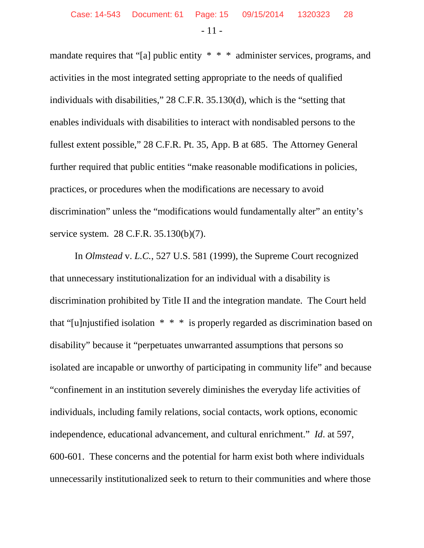mandate requires that "[a] public entity \* \* \* administer services, programs, and activities in the most integrated setting appropriate to the needs of qualified individuals with disabilities," 28 C.F.R. 35.130(d), which is the "setting that enables individuals with disabilities to interact with nondisabled persons to the fullest extent possible," 28 C.F.R. Pt. 35, App. B at 685. The Attorney General further required that public entities "make reasonable modifications in policies, practices, or procedures when the modifications are necessary to avoid discrimination" unless the "modifications would fundamentally alter" an entity's service system. 28 C.F.R. 35.130(b)(7).

In *Olmstead* v. *L.C.*, 527 U.S. 581 (1999), the Supreme Court recognized that unnecessary institutionalization for an individual with a disability is discrimination prohibited by Title II and the integration mandate. The Court held that "[u]njustified isolation \* \* \* is properly regarded as discrimination based on disability" because it "perpetuates unwarranted assumptions that persons so isolated are incapable or unworthy of participating in community life" and because "confinement in an institution severely diminishes the everyday life activities of individuals, including family relations, social contacts, work options, economic independence, educational advancement, and cultural enrichment." *Id*. at 597, 600-601. These concerns and the potential for harm exist both where individuals unnecessarily institutionalized seek to return to their communities and where those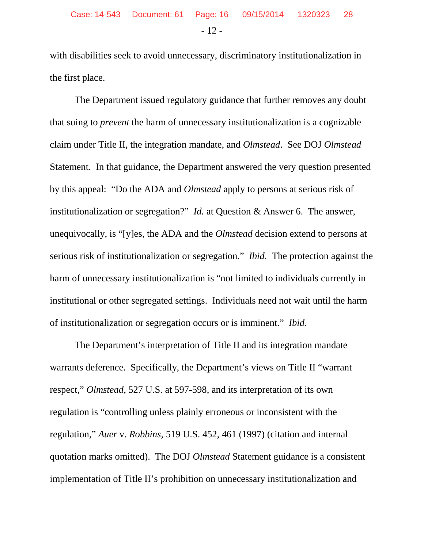with disabilities seek to avoid unnecessary, discriminatory institutionalization in the first place.

The Department issued regulatory guidance that further removes any doubt that suing to *prevent* the harm of unnecessary institutionalization is a cognizable claim under Title II, the integration mandate, and *Olmstead*. See DOJ *Olmstead* Statement. In that guidance, the Department answered the very question presented by this appeal: "Do the ADA and *Olmstead* apply to persons at serious risk of institutionalization or segregation?" *Id.* at Question & Answer 6. The answer, unequivocally, is "[y]es, the ADA and the *Olmstead* decision extend to persons at serious risk of institutionalization or segregation." *Ibid.* The protection against the harm of unnecessary institutionalization is "not limited to individuals currently in institutional or other segregated settings. Individuals need not wait until the harm of institutionalization or segregation occurs or is imminent." *Ibid.*

The Department's interpretation of Title II and its integration mandate warrants deference. Specifically, the Department's views on Title II "warrant respect," *Olmstead*, 527 U.S. at 597-598, and its interpretation of its own regulation is "controlling unless plainly erroneous or inconsistent with the regulation," *Auer* v. *Robbins*, 519 U.S. 452, 461 (1997) (citation and internal quotation marks omitted). The DOJ *Olmstead* Statement guidance is a consistent implementation of Title II's prohibition on unnecessary institutionalization and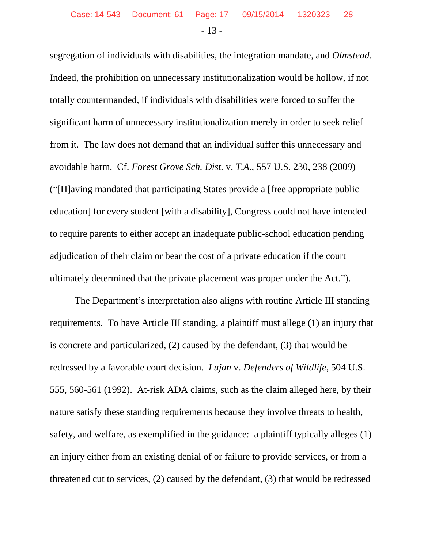segregation of individuals with disabilities, the integration mandate, and *Olmstead*. Indeed, the prohibition on unnecessary institutionalization would be hollow, if not totally countermanded, if individuals with disabilities were forced to suffer the significant harm of unnecessary institutionalization merely in order to seek relief from it. The law does not demand that an individual suffer this unnecessary and avoidable harm. Cf. *Forest Grove Sch. Dist.* v. *T.A.*, 557 U.S. 230, 238 (2009) ("[H]aving mandated that participating States provide a [free appropriate public education] for every student [with a disability], Congress could not have intended to require parents to either accept an inadequate public-school education pending adjudication of their claim or bear the cost of a private education if the court ultimately determined that the private placement was proper under the Act.").

The Department's interpretation also aligns with routine Article III standing requirements. To have Article III standing, a plaintiff must allege (1) an injury that is concrete and particularized, (2) caused by the defendant, (3) that would be redressed by a favorable court decision. *Lujan* v. *Defenders of Wildlife*, 504 U.S. 555, 560-561 (1992). At-risk ADA claims, such as the claim alleged here, by their nature satisfy these standing requirements because they involve threats to health, safety, and welfare, as exemplified in the guidance: a plaintiff typically alleges (1) an injury either from an existing denial of or failure to provide services, or from a threatened cut to services, (2) caused by the defendant, (3) that would be redressed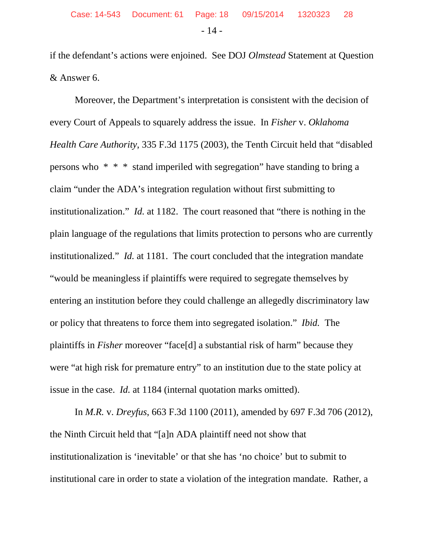if the defendant's actions were enjoined. See DOJ *Olmstead* Statement at Question & Answer 6.

Moreover, the Department's interpretation is consistent with the decision of every Court of Appeals to squarely address the issue. In *Fisher* v. *Oklahoma Health Care Authority*, 335 F.3d 1175 (2003), the Tenth Circuit held that "disabled persons who \* \* \* stand imperiled with segregation" have standing to bring a claim "under the ADA's integration regulation without first submitting to institutionalization." *Id.* at 1182. The court reasoned that "there is nothing in the plain language of the regulations that limits protection to persons who are currently institutionalized." *Id.* at 1181. The court concluded that the integration mandate "would be meaningless if plaintiffs were required to segregate themselves by entering an institution before they could challenge an allegedly discriminatory law or policy that threatens to force them into segregated isolation." *Ibid.* The plaintiffs in *Fisher* moreover "face[d] a substantial risk of harm" because they were "at high risk for premature entry" to an institution due to the state policy at issue in the case. *Id.* at 1184 (internal quotation marks omitted).

In *M.R.* v. *Dreyfus*, 663 F.3d 1100 (2011), amended by 697 F.3d 706 (2012), the Ninth Circuit held that "[a]n ADA plaintiff need not show that institutionalization is 'inevitable' or that she has 'no choice' but to submit to institutional care in order to state a violation of the integration mandate. Rather, a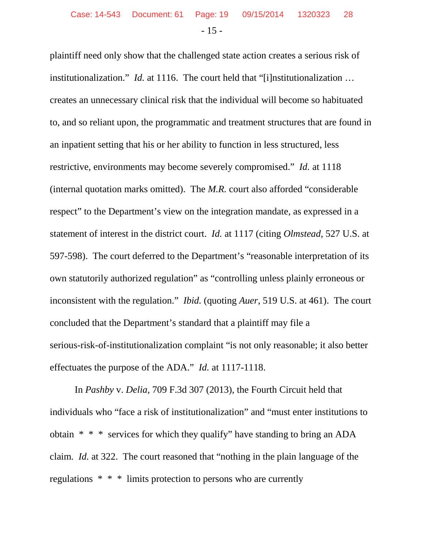plaintiff need only show that the challenged state action creates a serious risk of institutionalization." *Id.* at 1116. The court held that "[i]nstitutionalization … creates an unnecessary clinical risk that the individual will become so habituated to, and so reliant upon, the programmatic and treatment structures that are found in an inpatient setting that his or her ability to function in less structured, less restrictive, environments may become severely compromised." *Id.* at 1118 (internal quotation marks omitted). The *M.R.* court also afforded "considerable respect" to the Department's view on the integration mandate, as expressed in a statement of interest in the district court. *Id.* at 1117 (citing *Olmstead*, 527 U.S. at 597-598). The court deferred to the Department's "reasonable interpretation of its own statutorily authorized regulation" as "controlling unless plainly erroneous or inconsistent with the regulation." *Ibid.* (quoting *Auer*, 519 U.S. at 461). The court concluded that the Department's standard that a plaintiff may file a serious-risk-of-institutionalization complaint "is not only reasonable; it also better effectuates the purpose of the ADA." *Id.* at 1117-1118.

In *Pashby* v. *Delia*, 709 F.3d 307 (2013), the Fourth Circuit held that individuals who "face a risk of institutionalization" and "must enter institutions to obtain \* \* \* services for which they qualify" have standing to bring an ADA claim. *Id.* at 322. The court reasoned that "nothing in the plain language of the regulations \* \* \* limits protection to persons who are currently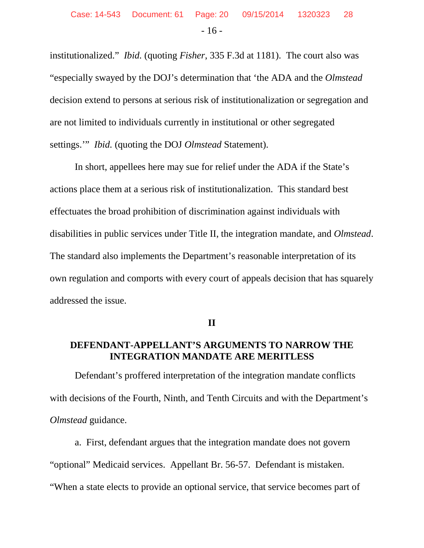institutionalized." *Ibid.* (quoting *Fisher*, 335 F.3d at 1181). The court also was "especially swayed by the DOJ's determination that 'the ADA and the *Olmstead* decision extend to persons at serious risk of institutionalization or segregation and are not limited to individuals currently in institutional or other segregated settings.'" *Ibid.* (quoting the DOJ *Olmstead* Statement).

In short, appellees here may sue for relief under the ADA if the State's actions place them at a serious risk of institutionalization. This standard best effectuates the broad prohibition of discrimination against individuals with disabilities in public services under Title II, the integration mandate, and *Olmstead*. The standard also implements the Department's reasonable interpretation of its own regulation and comports with every court of appeals decision that has squarely addressed the issue.

**II**

# **DEFENDANT-APPELLANT'S ARGUMENTS TO NARROW THE INTEGRATION MANDATE ARE MERITLESS**

Defendant's proffered interpretation of the integration mandate conflicts with decisions of the Fourth, Ninth, and Tenth Circuits and with the Department's *Olmstead* guidance.

a. First, defendant argues that the integration mandate does not govern "optional" Medicaid services. Appellant Br. 56-57. Defendant is mistaken. "When a state elects to provide an optional service, that service becomes part of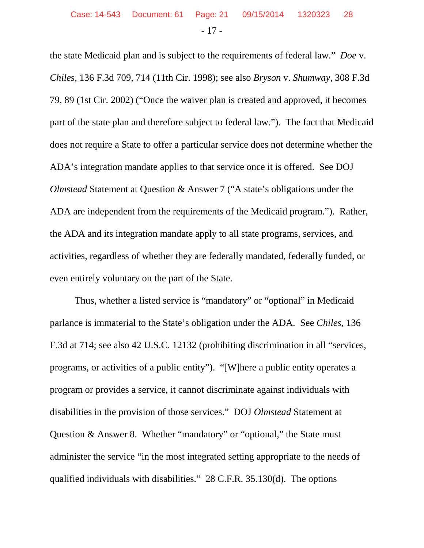the state Medicaid plan and is subject to the requirements of federal law." *Doe* v. *Chiles*, 136 F.3d 709, 714 (11th Cir. 1998); see also *Bryson* v. *Shumway*, 308 F.3d 79, 89 (1st Cir. 2002) ("Once the waiver plan is created and approved, it becomes part of the state plan and therefore subject to federal law."). The fact that Medicaid does not require a State to offer a particular service does not determine whether the ADA's integration mandate applies to that service once it is offered. See DOJ *Olmstead* Statement at Question & Answer 7 ("A state's obligations under the ADA are independent from the requirements of the Medicaid program."). Rather, the ADA and its integration mandate apply to all state programs, services, and activities, regardless of whether they are federally mandated, federally funded, or even entirely voluntary on the part of the State.

Thus, whether a listed service is "mandatory" or "optional" in Medicaid parlance is immaterial to the State's obligation under the ADA. See *Chiles*, 136 F.3d at 714; see also 42 U.S.C. 12132 (prohibiting discrimination in all "services, programs, or activities of a public entity"). "[W]here a public entity operates a program or provides a service, it cannot discriminate against individuals with disabilities in the provision of those services." DOJ *Olmstead* Statement at Question & Answer 8. Whether "mandatory" or "optional," the State must administer the service "in the most integrated setting appropriate to the needs of qualified individuals with disabilities." 28 C.F.R. 35.130(d). The options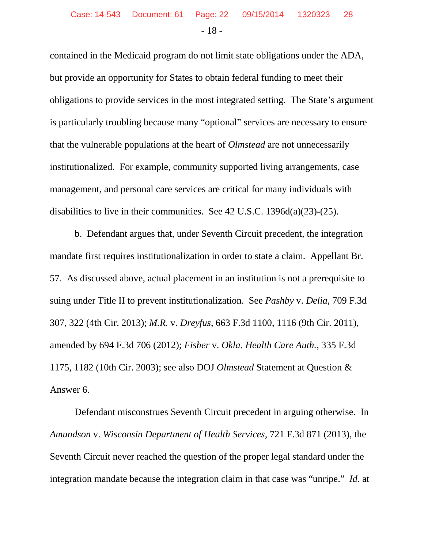contained in the Medicaid program do not limit state obligations under the ADA, but provide an opportunity for States to obtain federal funding to meet their obligations to provide services in the most integrated setting. The State's argument is particularly troubling because many "optional" services are necessary to ensure that the vulnerable populations at the heart of *Olmstead* are not unnecessarily institutionalized. For example, community supported living arrangements, case management, and personal care services are critical for many individuals with disabilities to live in their communities. See 42 U.S.C. 1396d(a)(23)-(25).

b. Defendant argues that, under Seventh Circuit precedent, the integration mandate first requires institutionalization in order to state a claim. Appellant Br. 57. As discussed above, actual placement in an institution is not a prerequisite to suing under Title II to prevent institutionalization. See *Pashby* v. *Delia*, 709 F.3d 307, 322 (4th Cir. 2013); *M.R.* v. *Dreyfus*, 663 F.3d 1100, 1116 (9th Cir. 2011), amended by 694 F.3d 706 (2012); *Fisher* v. *Okla. Health Care Auth.*, 335 F.3d 1175, 1182 (10th Cir. 2003); see also DOJ *Olmstead* Statement at Question & Answer 6.

Defendant misconstrues Seventh Circuit precedent in arguing otherwise. In *Amundson* v. *Wisconsin Department of Health Services*, 721 F.3d 871 (2013), the Seventh Circuit never reached the question of the proper legal standard under the integration mandate because the integration claim in that case was "unripe." *Id.* at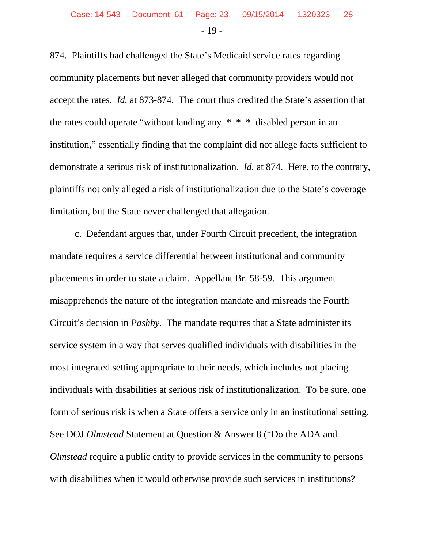874. Plaintiffs had challenged the State's Medicaid service rates regarding community placements but never alleged that community providers would not accept the rates. *Id.* at 873-874. The court thus credited the State's assertion that the rates could operate "without landing any \* \* \* disabled person in an institution," essentially finding that the complaint did not allege facts sufficient to demonstrate a serious risk of institutionalization. *Id.* at 874. Here, to the contrary, plaintiffs not only alleged a risk of institutionalization due to the State's coverage limitation, but the State never challenged that allegation.

c. Defendant argues that, under Fourth Circuit precedent, the integration mandate requires a service differential between institutional and community placements in order to state a claim. Appellant Br. 58-59. This argument misapprehends the nature of the integration mandate and misreads the Fourth Circuit's decision in *Pashby*. The mandate requires that a State administer its service system in a way that serves qualified individuals with disabilities in the most integrated setting appropriate to their needs, which includes not placing individuals with disabilities at serious risk of institutionalization. To be sure, one form of serious risk is when a State offers a service only in an institutional setting. See DOJ *Olmstead* Statement at Question & Answer 8 ("Do the ADA and *Olmstead* require a public entity to provide services in the community to persons with disabilities when it would otherwise provide such services in institutions?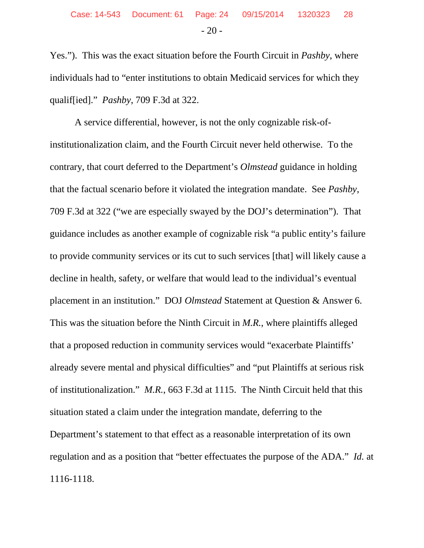Yes."). This was the exact situation before the Fourth Circuit in *Pashby*, where individuals had to "enter institutions to obtain Medicaid services for which they qualif[ied]." *Pashby*, 709 F.3d at 322.

A service differential, however, is not the only cognizable risk-ofinstitutionalization claim, and the Fourth Circuit never held otherwise. To the contrary, that court deferred to the Department's *Olmstead* guidance in holding that the factual scenario before it violated the integration mandate. See *Pashby*, 709 F.3d at 322 ("we are especially swayed by the DOJ's determination"). That guidance includes as another example of cognizable risk "a public entity's failure to provide community services or its cut to such services [that] will likely cause a decline in health, safety, or welfare that would lead to the individual's eventual placement in an institution." DOJ *Olmstead* Statement at Question & Answer 6. This was the situation before the Ninth Circuit in *M.R.*, where plaintiffs alleged that a proposed reduction in community services would "exacerbate Plaintiffs' already severe mental and physical difficulties" and "put Plaintiffs at serious risk of institutionalization." *M.R.*, 663 F.3d at 1115. The Ninth Circuit held that this situation stated a claim under the integration mandate, deferring to the Department's statement to that effect as a reasonable interpretation of its own regulation and as a position that "better effectuates the purpose of the ADA." *Id.* at 1116-1118.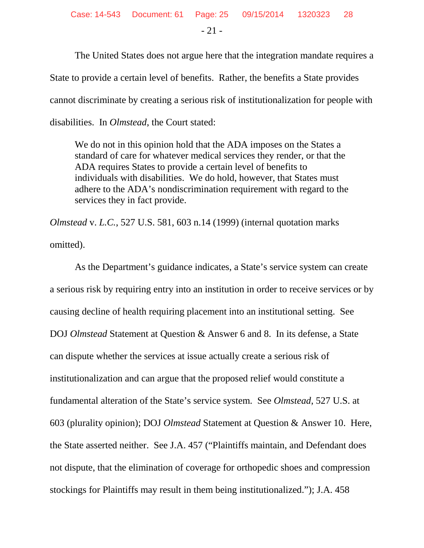The United States does not argue here that the integration mandate requires a State to provide a certain level of benefits. Rather, the benefits a State provides cannot discriminate by creating a serious risk of institutionalization for people with disabilities. In *Olmstead*, the Court stated:

We do not in this opinion hold that the ADA imposes on the States a standard of care for whatever medical services they render, or that the ADA requires States to provide a certain level of benefits to individuals with disabilities. We do hold, however, that States must adhere to the ADA's nondiscrimination requirement with regard to the services they in fact provide.

*Olmstead* v. *L.C.*, 527 U.S. 581, 603 n.14 (1999) (internal quotation marks omitted).

As the Department's guidance indicates, a State's service system can create a serious risk by requiring entry into an institution in order to receive services or by causing decline of health requiring placement into an institutional setting. See DOJ *Olmstead* Statement at Question & Answer 6 and 8. In its defense, a State can dispute whether the services at issue actually create a serious risk of institutionalization and can argue that the proposed relief would constitute a fundamental alteration of the State's service system. See *Olmstead*, 527 U.S. at 603 (plurality opinion); DOJ *Olmstead* Statement at Question & Answer 10. Here, the State asserted neither. See J.A. 457 ("Plaintiffs maintain, and Defendant does not dispute, that the elimination of coverage for orthopedic shoes and compression stockings for Plaintiffs may result in them being institutionalized."); J.A. 458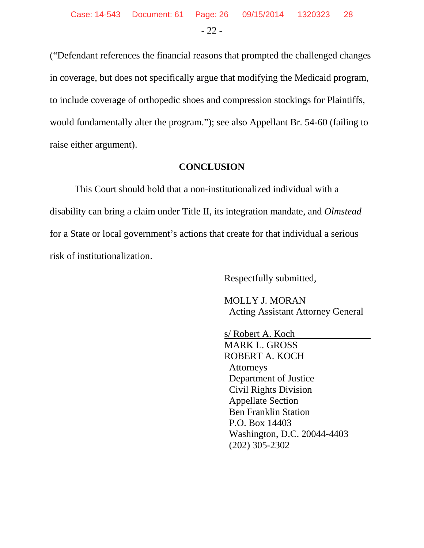("Defendant references the financial reasons that prompted the challenged changes in coverage, but does not specifically argue that modifying the Medicaid program, to include coverage of orthopedic shoes and compression stockings for Plaintiffs, would fundamentally alter the program."); see also Appellant Br. 54-60 (failing to raise either argument).

#### **CONCLUSION**

This Court should hold that a non-institutionalized individual with a disability can bring a claim under Title II, its integration mandate, and *Olmstead* for a State or local government's actions that create for that individual a serious risk of institutionalization.

Respectfully submitted,

 MOLLY J. MORAN Acting Assistant Attorney General

 s/ Robert A. Koch MARK L. GROSS ROBERT A. KOCH Attorneys Department of Justice Civil Rights Division Appellate Section Ben Franklin Station P.O. Box 14403 Washington, D.C. 20044-4403 (202) 305-2302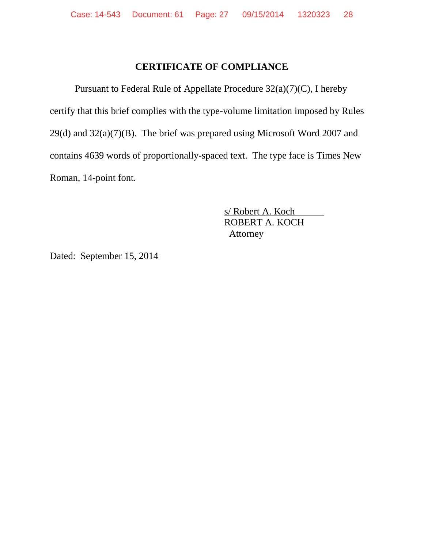#### **CERTIFICATE OF COMPLIANCE**

Pursuant to Federal Rule of Appellate Procedure 32(a)(7)(C), I hereby certify that this brief complies with the type-volume limitation imposed by Rules  $29(d)$  and  $32(a)(7)(B)$ . The brief was prepared using Microsoft Word 2007 and contains 4639 words of proportionally-spaced text. The type face is Times New Roman, 14-point font.

> s/ Robert A. Koch ROBERT A. KOCH Attorney

Dated: September 15, 2014